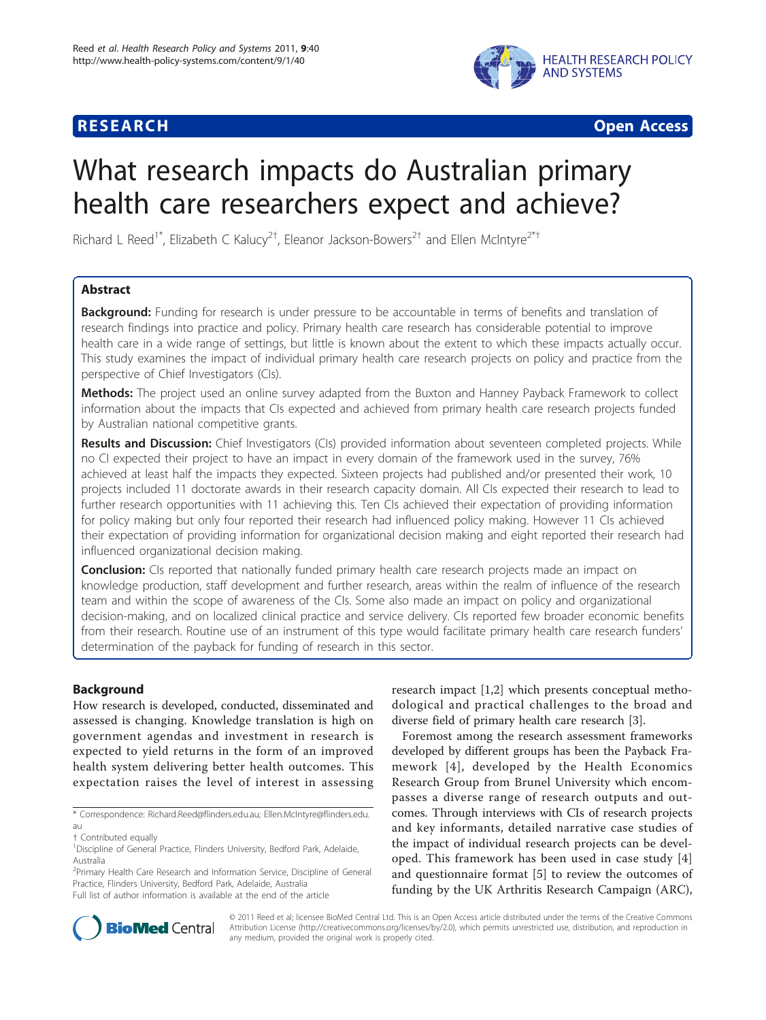

**RESEARCH CONSTRUCTION CONSTRUCTS** 

# What research impacts do Australian primary health care researchers expect and achieve?

Richard L Reed<sup>1\*</sup>, Elizabeth C Kalucy<sup>2†</sup>, Eleanor Jackson-Bowers<sup>2†</sup> and Ellen McIntyre<sup>2\*†</sup>

# Abstract

**Background:** Funding for research is under pressure to be accountable in terms of benefits and translation of research findings into practice and policy. Primary health care research has considerable potential to improve health care in a wide range of settings, but little is known about the extent to which these impacts actually occur. This study examines the impact of individual primary health care research projects on policy and practice from the perspective of Chief Investigators (CIs).

Methods: The project used an online survey adapted from the Buxton and Hanney Payback Framework to collect information about the impacts that CIs expected and achieved from primary health care research projects funded by Australian national competitive grants.

Results and Discussion: Chief Investigators (CIs) provided information about seventeen completed projects. While no CI expected their project to have an impact in every domain of the framework used in the survey, 76% achieved at least half the impacts they expected. Sixteen projects had published and/or presented their work, 10 projects included 11 doctorate awards in their research capacity domain. All CIs expected their research to lead to further research opportunities with 11 achieving this. Ten CIs achieved their expectation of providing information for policy making but only four reported their research had influenced policy making. However 11 CIs achieved their expectation of providing information for organizational decision making and eight reported their research had influenced organizational decision making.

**Conclusion:** CIs reported that nationally funded primary health care research projects made an impact on knowledge production, staff development and further research, areas within the realm of influence of the research team and within the scope of awareness of the CIs. Some also made an impact on policy and organizational decision-making, and on localized clinical practice and service delivery. CIs reported few broader economic benefits from their research. Routine use of an instrument of this type would facilitate primary health care research funders' determination of the payback for funding of research in this sector.

# Background

How research is developed, conducted, disseminated and assessed is changing. Knowledge translation is high on government agendas and investment in research is expected to yield returns in the form of an improved health system delivering better health outcomes. This expectation raises the level of interest in assessing

<sup>2</sup> Primary Health Care Research and Information Service, Discipline of General Practice, Flinders University, Bedford Park, Adelaide, Australia Full list of author information is available at the end of the article

research impact [[1,2\]](#page-8-0) which presents conceptual methodological and practical challenges to the broad and diverse field of primary health care research [\[3\]](#page-8-0).

Foremost among the research assessment frameworks developed by different groups has been the Payback Framework [[4](#page-8-0)], developed by the Health Economics Research Group from Brunel University which encompasses a diverse range of research outputs and outcomes. Through interviews with CIs of research projects and key informants, detailed narrative case studies of the impact of individual research projects can be developed. This framework has been used in case study [\[4](#page-8-0)] and questionnaire format [\[5](#page-8-0)] to review the outcomes of funding by the UK Arthritis Research Campaign (ARC),



© 2011 Reed et al; licensee BioMed Central Ltd. This is an Open Access article distributed under the terms of the Creative Commons Attribution License [\(http://creativecommons.org/licenses/by/2.0](http://creativecommons.org/licenses/by/2.0)), which permits unrestricted use, distribution, and reproduction in any medium, provided the original work is properly cited.

<sup>\*</sup> Correspondence: [Richard.Reed@flinders.edu.au;](mailto:Richard.Reed@flinders.edu.au) [Ellen.McIntyre@flinders.edu.](mailto:Ellen.McIntyre@flinders.edu.au)

[au](mailto:Ellen.McIntyre@flinders.edu.au)

<sup>†</sup> Contributed equally <sup>1</sup>

<sup>&</sup>lt;sup>1</sup> Discipline of General Practice, Flinders University, Bedford Park, Adelaide, Australia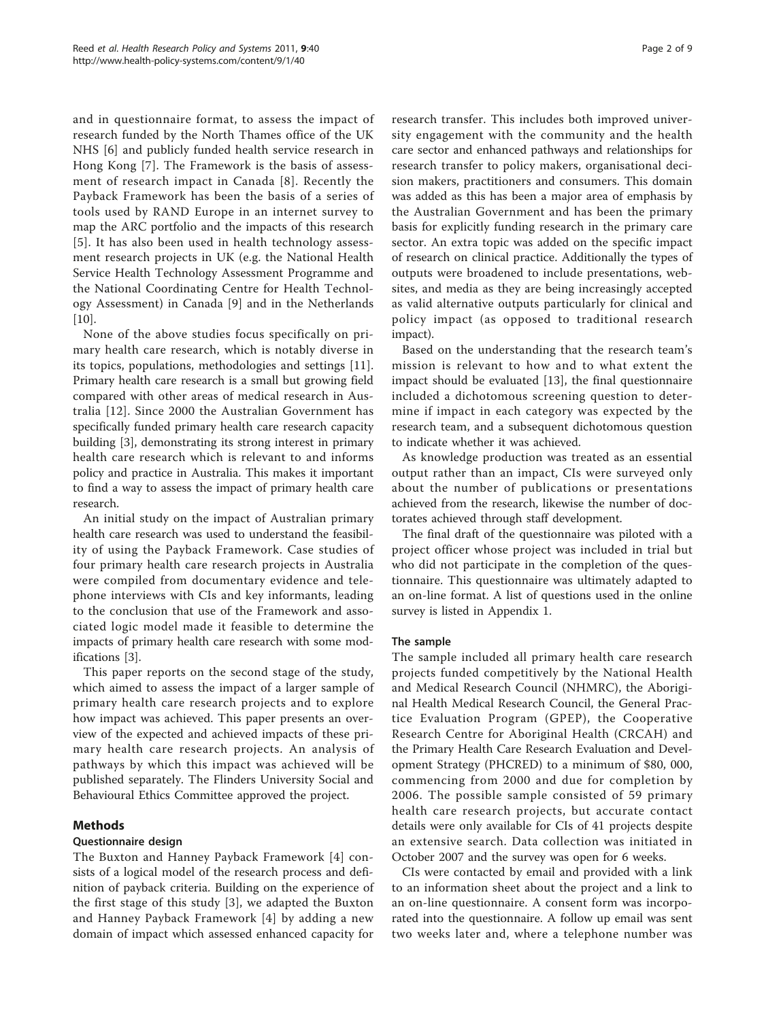and in questionnaire format, to assess the impact of research funded by the North Thames office of the UK NHS [[6\]](#page-8-0) and publicly funded health service research in Hong Kong [[7](#page-8-0)]. The Framework is the basis of assessment of research impact in Canada [[8](#page-8-0)]. Recently the Payback Framework has been the basis of a series of tools used by RAND Europe in an internet survey to map the ARC portfolio and the impacts of this research [[5](#page-8-0)]. It has also been used in health technology assessment research projects in UK (e.g. the National Health Service Health Technology Assessment Programme and the National Coordinating Centre for Health Technology Assessment) in Canada [\[9](#page-8-0)] and in the Netherlands  $[10]$  $[10]$ .

None of the above studies focus specifically on primary health care research, which is notably diverse in its topics, populations, methodologies and settings [\[11](#page-8-0)]. Primary health care research is a small but growing field compared with other areas of medical research in Australia [\[12\]](#page-8-0). Since 2000 the Australian Government has specifically funded primary health care research capacity building [\[3](#page-8-0)], demonstrating its strong interest in primary health care research which is relevant to and informs policy and practice in Australia. This makes it important to find a way to assess the impact of primary health care research.

An initial study on the impact of Australian primary health care research was used to understand the feasibility of using the Payback Framework. Case studies of four primary health care research projects in Australia were compiled from documentary evidence and telephone interviews with CIs and key informants, leading to the conclusion that use of the Framework and associated logic model made it feasible to determine the impacts of primary health care research with some modifications [[3\]](#page-8-0).

This paper reports on the second stage of the study, which aimed to assess the impact of a larger sample of primary health care research projects and to explore how impact was achieved. This paper presents an overview of the expected and achieved impacts of these primary health care research projects. An analysis of pathways by which this impact was achieved will be published separately. The Flinders University Social and Behavioural Ethics Committee approved the project.

# Methods

# Questionnaire design

The Buxton and Hanney Payback Framework [[4\]](#page-8-0) consists of a logical model of the research process and definition of payback criteria. Building on the experience of the first stage of this study [[3](#page-8-0)], we adapted the Buxton and Hanney Payback Framework [[4\]](#page-8-0) by adding a new domain of impact which assessed enhanced capacity for research transfer. This includes both improved university engagement with the community and the health care sector and enhanced pathways and relationships for research transfer to policy makers, organisational decision makers, practitioners and consumers. This domain was added as this has been a major area of emphasis by the Australian Government and has been the primary basis for explicitly funding research in the primary care sector. An extra topic was added on the specific impact of research on clinical practice. Additionally the types of outputs were broadened to include presentations, websites, and media as they are being increasingly accepted as valid alternative outputs particularly for clinical and policy impact (as opposed to traditional research impact).

Based on the understanding that the research team's mission is relevant to how and to what extent the impact should be evaluated [[13\]](#page-8-0), the final questionnaire included a dichotomous screening question to determine if impact in each category was expected by the research team, and a subsequent dichotomous question to indicate whether it was achieved.

As knowledge production was treated as an essential output rather than an impact, CIs were surveyed only about the number of publications or presentations achieved from the research, likewise the number of doctorates achieved through staff development.

The final draft of the questionnaire was piloted with a project officer whose project was included in trial but who did not participate in the completion of the questionnaire. This questionnaire was ultimately adapted to an on-line format. A list of questions used in the online survey is listed in Appendix 1.

# The sample

The sample included all primary health care research projects funded competitively by the National Health and Medical Research Council (NHMRC), the Aboriginal Health Medical Research Council, the General Practice Evaluation Program (GPEP), the Cooperative Research Centre for Aboriginal Health (CRCAH) and the Primary Health Care Research Evaluation and Development Strategy (PHCRED) to a minimum of \$80, 000, commencing from 2000 and due for completion by 2006. The possible sample consisted of 59 primary health care research projects, but accurate contact details were only available for CIs of 41 projects despite an extensive search. Data collection was initiated in October 2007 and the survey was open for 6 weeks.

CIs were contacted by email and provided with a link to an information sheet about the project and a link to an on-line questionnaire. A consent form was incorporated into the questionnaire. A follow up email was sent two weeks later and, where a telephone number was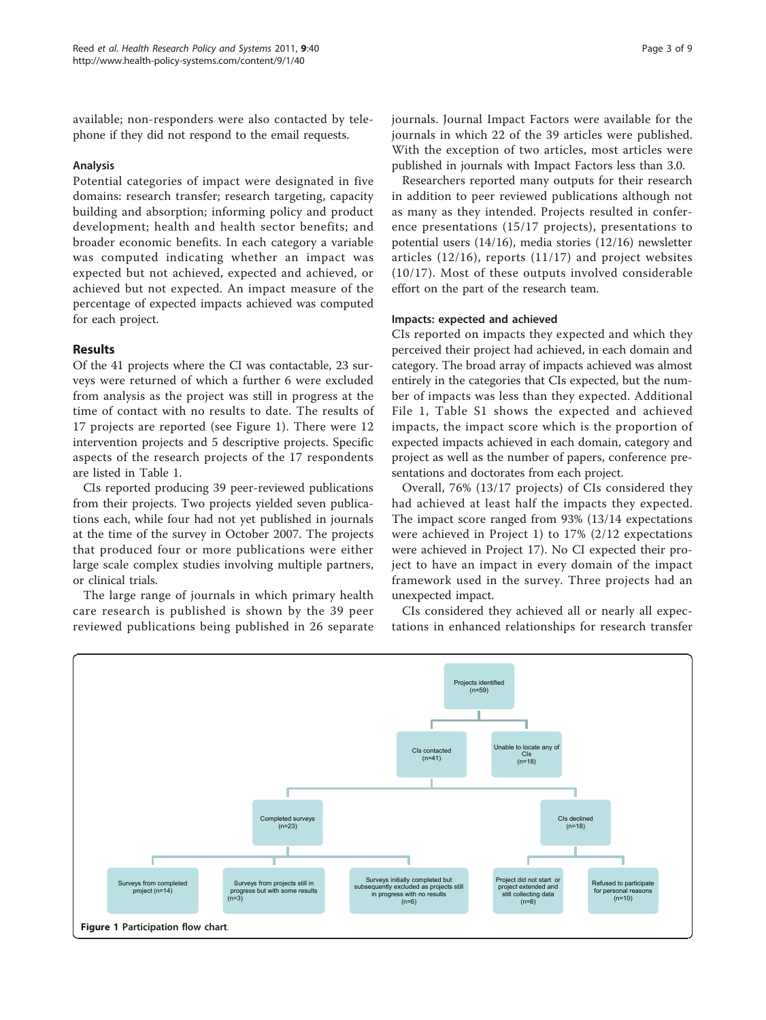available; non-responders were also contacted by telephone if they did not respond to the email requests.

#### Analysis

Potential categories of impact were designated in five domains: research transfer; research targeting, capacity building and absorption; informing policy and product development; health and health sector benefits; and broader economic benefits. In each category a variable was computed indicating whether an impact was expected but not achieved, expected and achieved, or achieved but not expected. An impact measure of the percentage of expected impacts achieved was computed for each project.

#### Results

Of the 41 projects where the CI was contactable, 23 surveys were returned of which a further 6 were excluded from analysis as the project was still in progress at the time of contact with no results to date. The results of 17 projects are reported (see Figure 1). There were 12 intervention projects and 5 descriptive projects. Specific aspects of the research projects of the 17 respondents are listed in Table [1](#page-3-0).

CIs reported producing 39 peer-reviewed publications from their projects. Two projects yielded seven publications each, while four had not yet published in journals at the time of the survey in October 2007. The projects that produced four or more publications were either large scale complex studies involving multiple partners, or clinical trials.

The large range of journals in which primary health care research is published is shown by the 39 peer reviewed publications being published in 26 separate published in journals with Impact Factors less than 3.0. Researchers reported many outputs for their research in addition to peer reviewed publications although not as many as they intended. Projects resulted in conference presentations (15/17 projects), presentations to potential users (14/16), media stories (12/16) newsletter articles  $(12/16)$ , reports  $(11/17)$  and project websites (10/17). Most of these outputs involved considerable effort on the part of the research team.

#### Impacts: expected and achieved

CIs reported on impacts they expected and which they perceived their project had achieved, in each domain and category. The broad array of impacts achieved was almost entirely in the categories that CIs expected, but the number of impacts was less than they expected. Additional File [1](#page-8-0), Table S1 shows the expected and achieved impacts, the impact score which is the proportion of expected impacts achieved in each domain, category and project as well as the number of papers, conference presentations and doctorates from each project.

Overall, 76% (13/17 projects) of CIs considered they had achieved at least half the impacts they expected. The impact score ranged from 93% (13/14 expectations were achieved in Project 1) to 17% (2/12 expectations were achieved in Project 17). No CI expected their project to have an impact in every domain of the impact framework used in the survey. Three projects had an unexpected impact.

CIs considered they achieved all or nearly all expectations in enhanced relationships for research transfer

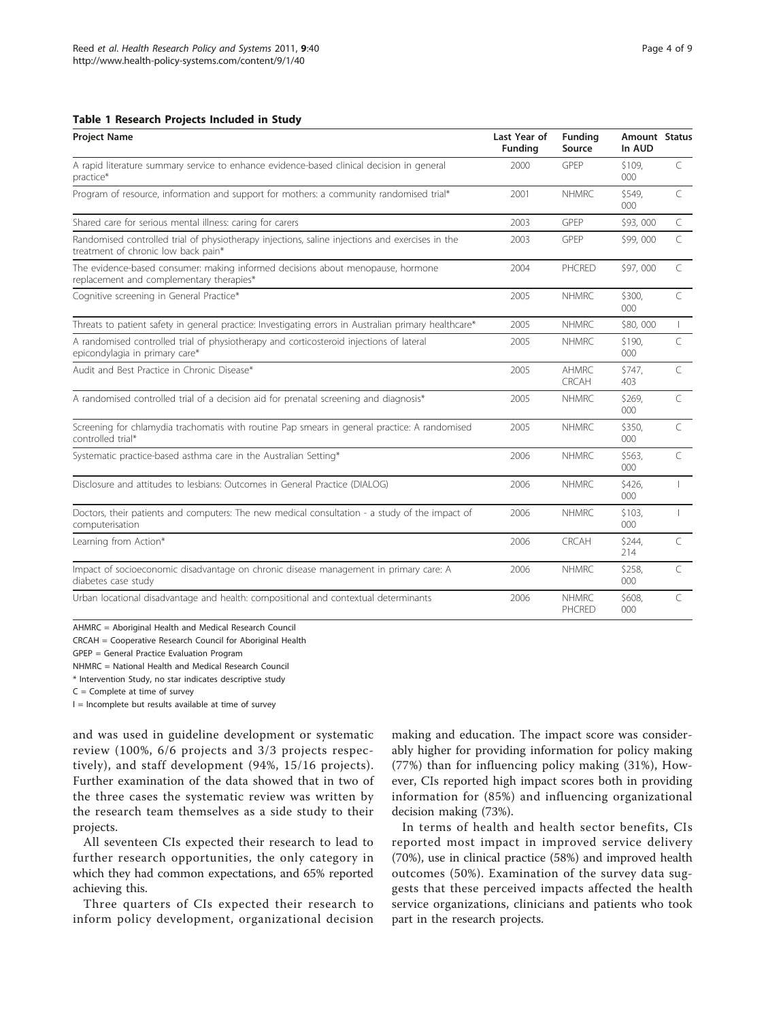#### <span id="page-3-0"></span>Table 1 Research Projects Included in Study

| <b>Project Name</b>                                                                                                                    | Last Year of<br><b>Funding</b> | <b>Funding</b><br>Source | <b>Amount Status</b><br>In AUD |               |
|----------------------------------------------------------------------------------------------------------------------------------------|--------------------------------|--------------------------|--------------------------------|---------------|
| A rapid literature summary service to enhance evidence-based clinical decision in general<br>practice*                                 | 2000                           | GPEP                     | \$109.<br>000 <sub>1</sub>     | $\subset$     |
| Program of resource, information and support for mothers: a community randomised trial*                                                | 2001                           | <b>NHMRC</b>             | \$549.<br>$000 -$              | $\subset$     |
| Shared care for serious mental illness: caring for carers                                                                              | 2003                           | GPFP                     | \$93,000                       | $\mathsf{C}$  |
| Randomised controlled trial of physiotherapy injections, saline injections and exercises in the<br>treatment of chronic low back pain* | 2003                           | GPEP                     | \$99,000                       | $\mathsf{C}$  |
| The evidence-based consumer: making informed decisions about menopause, hormone<br>replacement and complementary therapies*            | 2004                           | <b>PHCRED</b>            | \$97,000                       | C             |
| Cognitive screening in General Practice*                                                                                               | 2005                           | <b>NHMRC</b>             | \$300,<br>000                  | C             |
| Threats to patient safety in general practice: Investigating errors in Australian primary healthcare*                                  | 2005                           | <b>NHMRC</b>             | \$80,000                       |               |
| A randomised controlled trial of physiotherapy and corticosteroid injections of lateral<br>epicondylagia in primary care*              | 2005                           | <b>NHMRC</b>             | \$190,<br>$000 -$              | $\mathsf{C}$  |
| Audit and Best Practice in Chronic Disease*                                                                                            | 2005                           | <b>AHMRC</b><br>CRCAH    | \$747,<br>403                  | $\mathsf{C}$  |
| A randomised controlled trial of a decision aid for prenatal screening and diagnosis*                                                  | 2005                           | <b>NHMRC</b>             | \$269,<br>000                  | C             |
| Screening for chlamydia trachomatis with routine Pap smears in general practice: A randomised<br>controlled trial*                     | 2005                           | <b>NHMRC</b>             | \$350.<br>000                  | $\subset$     |
| Systematic practice-based asthma care in the Australian Setting*                                                                       | 2006                           | <b>NHMRC</b>             | \$563.<br>000 <sub>1</sub>     | $\mathcal{C}$ |
| Disclosure and attitudes to lesbians: Outcomes in General Practice (DIALOG)                                                            | 2006                           | <b>NHMRC</b>             | \$426,<br>000                  |               |
| Doctors, their patients and computers: The new medical consultation - a study of the impact of<br>computerisation                      | 2006                           | <b>NHMRC</b>             | \$103,<br>000                  |               |
| Learning from Action*                                                                                                                  | 2006                           | CRCAH                    | \$244,<br>214                  | $\subset$     |
| Impact of socioeconomic disadvantage on chronic disease management in primary care: A<br>diabetes case study                           | 2006                           | <b>NHMRC</b>             | \$258,<br>000                  | $\subset$     |
| Urban locational disadvantage and health: compositional and contextual determinants                                                    | 2006                           | <b>NHMRC</b><br>PHCRED   | \$608,<br>000                  | $\subset$     |

AHMRC = Aboriginal Health and Medical Research Council

CRCAH = Cooperative Research Council for Aboriginal Health

GPEP = General Practice Evaluation Program

NHMRC = National Health and Medical Research Council

\* Intervention Study, no star indicates descriptive study

 $C =$  Complete at time of survey

 $I =$  Incomplete but results available at time of survey

and was used in guideline development or systematic review (100%, 6/6 projects and 3/3 projects respectively), and staff development (94%, 15/16 projects). Further examination of the data showed that in two of the three cases the systematic review was written by the research team themselves as a side study to their projects.

All seventeen CIs expected their research to lead to further research opportunities, the only category in which they had common expectations, and 65% reported achieving this.

Three quarters of CIs expected their research to inform policy development, organizational decision

making and education. The impact score was considerably higher for providing information for policy making (77%) than for influencing policy making (31%), However, CIs reported high impact scores both in providing information for (85%) and influencing organizational decision making (73%).

In terms of health and health sector benefits, CIs reported most impact in improved service delivery (70%), use in clinical practice (58%) and improved health outcomes (50%). Examination of the survey data suggests that these perceived impacts affected the health service organizations, clinicians and patients who took part in the research projects.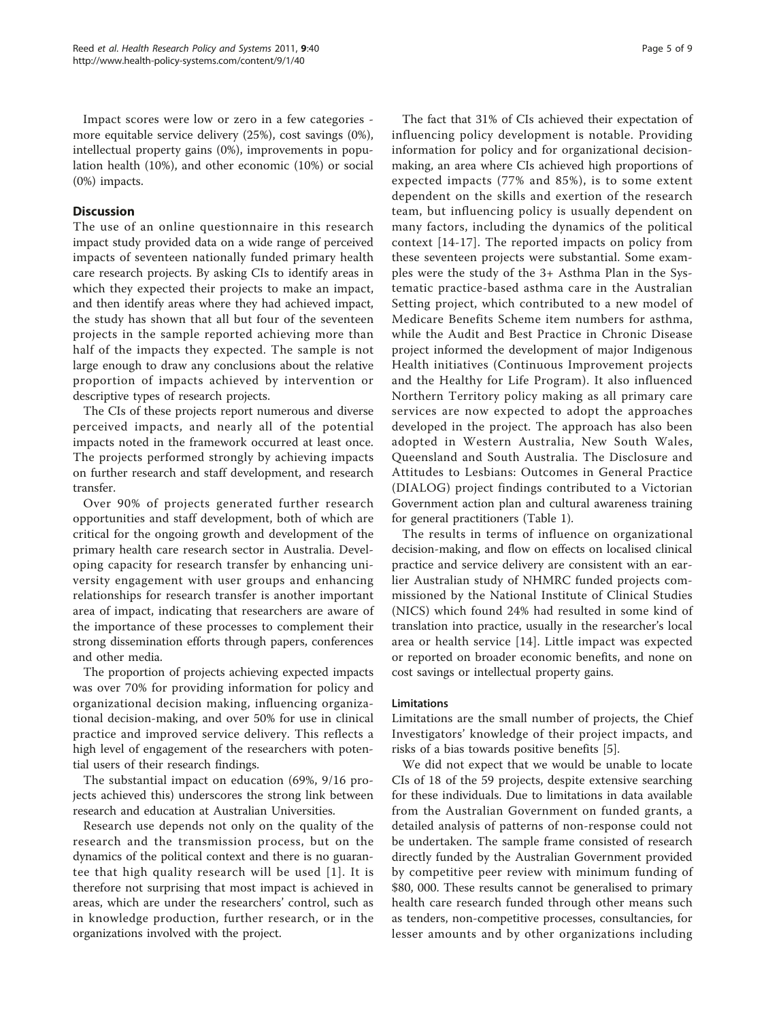Impact scores were low or zero in a few categories more equitable service delivery (25%), cost savings (0%), intellectual property gains (0%), improvements in population health (10%), and other economic (10%) or social (0%) impacts.

# **Discussion**

The use of an online questionnaire in this research impact study provided data on a wide range of perceived impacts of seventeen nationally funded primary health care research projects. By asking CIs to identify areas in which they expected their projects to make an impact, and then identify areas where they had achieved impact, the study has shown that all but four of the seventeen projects in the sample reported achieving more than half of the impacts they expected. The sample is not large enough to draw any conclusions about the relative proportion of impacts achieved by intervention or descriptive types of research projects.

The CIs of these projects report numerous and diverse perceived impacts, and nearly all of the potential impacts noted in the framework occurred at least once. The projects performed strongly by achieving impacts on further research and staff development, and research transfer.

Over 90% of projects generated further research opportunities and staff development, both of which are critical for the ongoing growth and development of the primary health care research sector in Australia. Developing capacity for research transfer by enhancing university engagement with user groups and enhancing relationships for research transfer is another important area of impact, indicating that researchers are aware of the importance of these processes to complement their strong dissemination efforts through papers, conferences and other media.

The proportion of projects achieving expected impacts was over 70% for providing information for policy and organizational decision making, influencing organizational decision-making, and over 50% for use in clinical practice and improved service delivery. This reflects a high level of engagement of the researchers with potential users of their research findings.

The substantial impact on education (69%, 9/16 projects achieved this) underscores the strong link between research and education at Australian Universities.

Research use depends not only on the quality of the research and the transmission process, but on the dynamics of the political context and there is no guarantee that high quality research will be used [[1\]](#page-8-0). It is therefore not surprising that most impact is achieved in areas, which are under the researchers' control, such as in knowledge production, further research, or in the organizations involved with the project.

The fact that 31% of CIs achieved their expectation of influencing policy development is notable. Providing information for policy and for organizational decisionmaking, an area where CIs achieved high proportions of expected impacts (77% and 85%), is to some extent dependent on the skills and exertion of the research team, but influencing policy is usually dependent on many factors, including the dynamics of the political context [[14-17\]](#page-8-0). The reported impacts on policy from these seventeen projects were substantial. Some examples were the study of the 3+ Asthma Plan in the Systematic practice-based asthma care in the Australian Setting project, which contributed to a new model of Medicare Benefits Scheme item numbers for asthma, while the Audit and Best Practice in Chronic Disease project informed the development of major Indigenous Health initiatives (Continuous Improvement projects and the Healthy for Life Program). It also influenced Northern Territory policy making as all primary care services are now expected to adopt the approaches developed in the project. The approach has also been adopted in Western Australia, New South Wales, Queensland and South Australia. The Disclosure and Attitudes to Lesbians: Outcomes in General Practice (DIALOG) project findings contributed to a Victorian Government action plan and cultural awareness training for general practitioners (Table [1\)](#page-3-0).

The results in terms of influence on organizational decision-making, and flow on effects on localised clinical practice and service delivery are consistent with an earlier Australian study of NHMRC funded projects commissioned by the National Institute of Clinical Studies (NICS) which found 24% had resulted in some kind of translation into practice, usually in the researcher's local area or health service [\[14](#page-8-0)]. Little impact was expected or reported on broader economic benefits, and none on cost savings or intellectual property gains.

# Limitations

Limitations are the small number of projects, the Chief Investigators' knowledge of their project impacts, and risks of a bias towards positive benefits [\[5\]](#page-8-0).

We did not expect that we would be unable to locate CIs of 18 of the 59 projects, despite extensive searching for these individuals. Due to limitations in data available from the Australian Government on funded grants, a detailed analysis of patterns of non-response could not be undertaken. The sample frame consisted of research directly funded by the Australian Government provided by competitive peer review with minimum funding of \$80, 000. These results cannot be generalised to primary health care research funded through other means such as tenders, non-competitive processes, consultancies, for lesser amounts and by other organizations including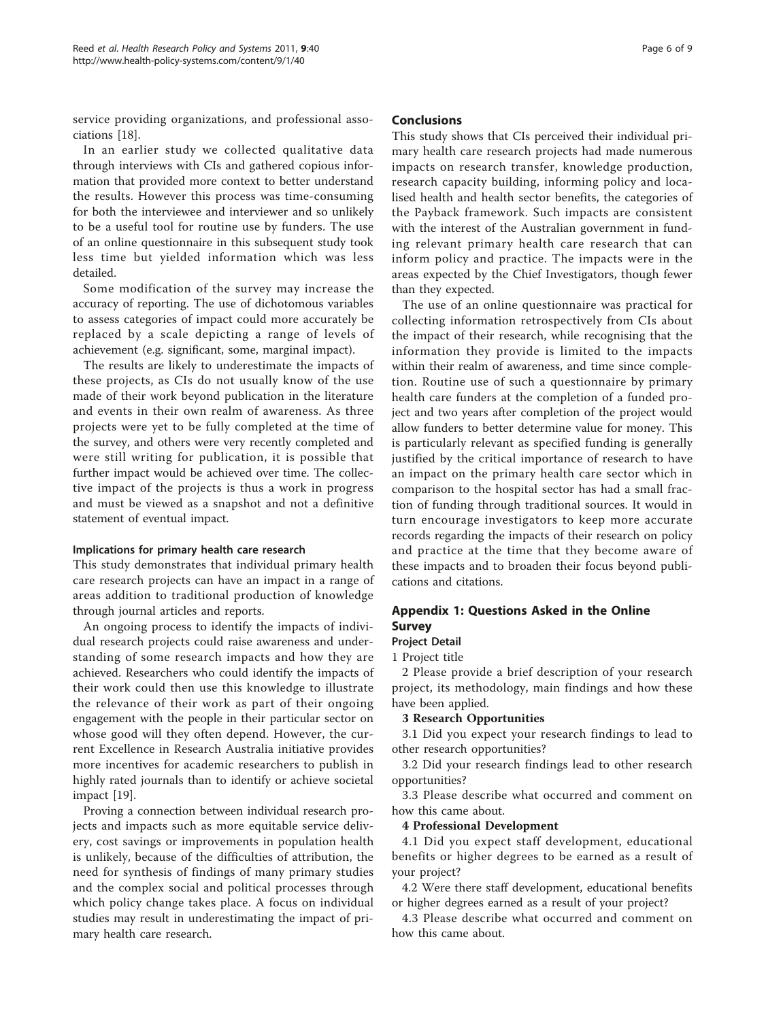service providing organizations, and professional associations [\[18](#page-8-0)].

In an earlier study we collected qualitative data through interviews with CIs and gathered copious information that provided more context to better understand the results. However this process was time-consuming for both the interviewee and interviewer and so unlikely to be a useful tool for routine use by funders. The use of an online questionnaire in this subsequent study took less time but yielded information which was less detailed.

Some modification of the survey may increase the accuracy of reporting. The use of dichotomous variables to assess categories of impact could more accurately be replaced by a scale depicting a range of levels of achievement (e.g. significant, some, marginal impact).

The results are likely to underestimate the impacts of these projects, as CIs do not usually know of the use made of their work beyond publication in the literature and events in their own realm of awareness. As three projects were yet to be fully completed at the time of the survey, and others were very recently completed and were still writing for publication, it is possible that further impact would be achieved over time. The collective impact of the projects is thus a work in progress and must be viewed as a snapshot and not a definitive statement of eventual impact.

#### Implications for primary health care research

This study demonstrates that individual primary health care research projects can have an impact in a range of areas addition to traditional production of knowledge through journal articles and reports.

An ongoing process to identify the impacts of individual research projects could raise awareness and understanding of some research impacts and how they are achieved. Researchers who could identify the impacts of their work could then use this knowledge to illustrate the relevance of their work as part of their ongoing engagement with the people in their particular sector on whose good will they often depend. However, the current Excellence in Research Australia initiative provides more incentives for academic researchers to publish in highly rated journals than to identify or achieve societal impact [[19\]](#page-8-0).

Proving a connection between individual research projects and impacts such as more equitable service delivery, cost savings or improvements in population health is unlikely, because of the difficulties of attribution, the need for synthesis of findings of many primary studies and the complex social and political processes through which policy change takes place. A focus on individual studies may result in underestimating the impact of primary health care research.

#### Conclusions

This study shows that CIs perceived their individual primary health care research projects had made numerous impacts on research transfer, knowledge production, research capacity building, informing policy and localised health and health sector benefits, the categories of the Payback framework. Such impacts are consistent with the interest of the Australian government in funding relevant primary health care research that can inform policy and practice. The impacts were in the areas expected by the Chief Investigators, though fewer than they expected.

The use of an online questionnaire was practical for collecting information retrospectively from CIs about the impact of their research, while recognising that the information they provide is limited to the impacts within their realm of awareness, and time since completion. Routine use of such a questionnaire by primary health care funders at the completion of a funded project and two years after completion of the project would allow funders to better determine value for money. This is particularly relevant as specified funding is generally justified by the critical importance of research to have an impact on the primary health care sector which in comparison to the hospital sector has had a small fraction of funding through traditional sources. It would in turn encourage investigators to keep more accurate records regarding the impacts of their research on policy and practice at the time that they become aware of these impacts and to broaden their focus beyond publications and citations.

# Appendix 1: Questions Asked in the Online Survey

# Project Detail

1 Project title

2 Please provide a brief description of your research project, its methodology, main findings and how these have been applied.

### 3 Research Opportunities

3.1 Did you expect your research findings to lead to other research opportunities?

3.2 Did your research findings lead to other research opportunities?

3.3 Please describe what occurred and comment on how this came about.

#### 4 Professional Development

4.1 Did you expect staff development, educational benefits or higher degrees to be earned as a result of your project?

4.2 Were there staff development, educational benefits or higher degrees earned as a result of your project?

4.3 Please describe what occurred and comment on how this came about.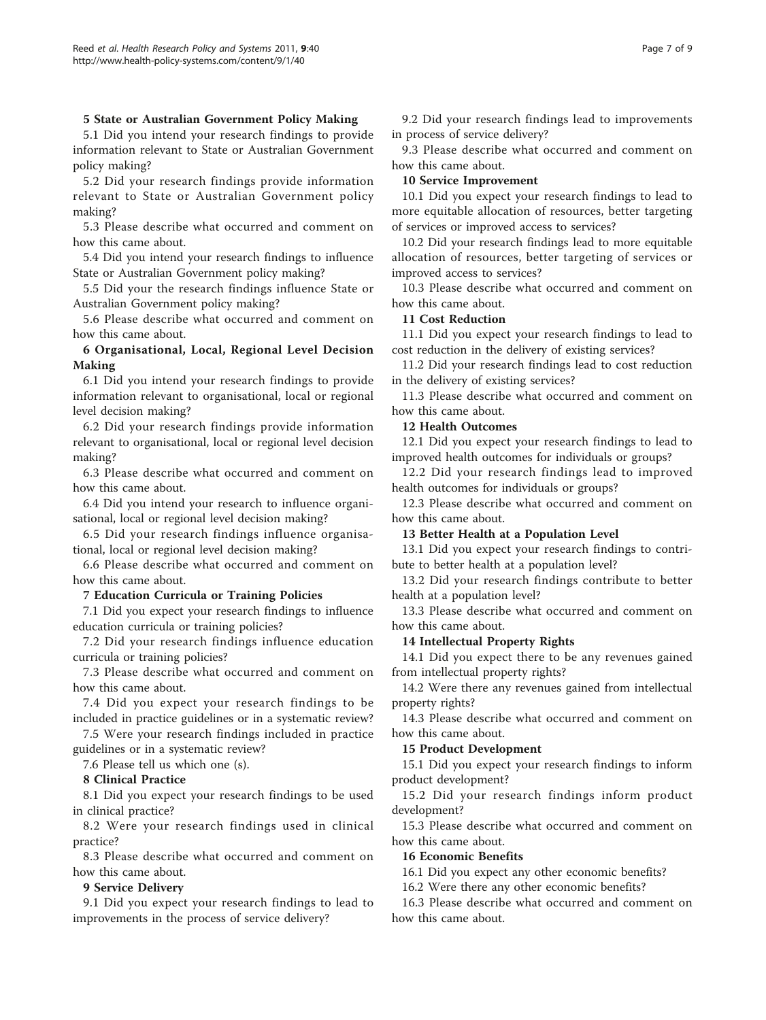# 5 State or Australian Government Policy Making

5.1 Did you intend your research findings to provide information relevant to State or Australian Government policy making?

5.2 Did your research findings provide information relevant to State or Australian Government policy making?

5.3 Please describe what occurred and comment on how this came about.

5.4 Did you intend your research findings to influence State or Australian Government policy making?

5.5 Did your the research findings influence State or Australian Government policy making?

5.6 Please describe what occurred and comment on how this came about.

# 6 Organisational, Local, Regional Level Decision Making

6.1 Did you intend your research findings to provide information relevant to organisational, local or regional level decision making?

6.2 Did your research findings provide information relevant to organisational, local or regional level decision making?

6.3 Please describe what occurred and comment on how this came about.

6.4 Did you intend your research to influence organisational, local or regional level decision making?

6.5 Did your research findings influence organisational, local or regional level decision making?

6.6 Please describe what occurred and comment on how this came about.

# 7 Education Curricula or Training Policies

7.1 Did you expect your research findings to influence education curricula or training policies?

7.2 Did your research findings influence education curricula or training policies?

7.3 Please describe what occurred and comment on how this came about.

7.4 Did you expect your research findings to be included in practice guidelines or in a systematic review?

7.5 Were your research findings included in practice guidelines or in a systematic review?

7.6 Please tell us which one (s).

# 8 Clinical Practice

8.1 Did you expect your research findings to be used in clinical practice?

8.2 Were your research findings used in clinical practice?

8.3 Please describe what occurred and comment on how this came about.

#### 9 Service Delivery

9.1 Did you expect your research findings to lead to improvements in the process of service delivery?

9.2 Did your research findings lead to improvements in process of service delivery?

9.3 Please describe what occurred and comment on how this came about.

### 10 Service Improvement

10.1 Did you expect your research findings to lead to more equitable allocation of resources, better targeting of services or improved access to services?

10.2 Did your research findings lead to more equitable allocation of resources, better targeting of services or improved access to services?

10.3 Please describe what occurred and comment on how this came about.

# 11 Cost Reduction

11.1 Did you expect your research findings to lead to cost reduction in the delivery of existing services?

11.2 Did your research findings lead to cost reduction in the delivery of existing services?

11.3 Please describe what occurred and comment on how this came about.

# 12 Health Outcomes

12.1 Did you expect your research findings to lead to improved health outcomes for individuals or groups?

12.2 Did your research findings lead to improved health outcomes for individuals or groups?

12.3 Please describe what occurred and comment on how this came about.

#### 13 Better Health at a Population Level

13.1 Did you expect your research findings to contribute to better health at a population level?

13.2 Did your research findings contribute to better health at a population level?

13.3 Please describe what occurred and comment on how this came about.

#### 14 Intellectual Property Rights

14.1 Did you expect there to be any revenues gained from intellectual property rights?

14.2 Were there any revenues gained from intellectual property rights?

14.3 Please describe what occurred and comment on how this came about.

#### 15 Product Development

15.1 Did you expect your research findings to inform product development?

15.2 Did your research findings inform product development?

15.3 Please describe what occurred and comment on how this came about.

#### 16 Economic Benefits

16.1 Did you expect any other economic benefits?

16.2 Were there any other economic benefits?

16.3 Please describe what occurred and comment on how this came about.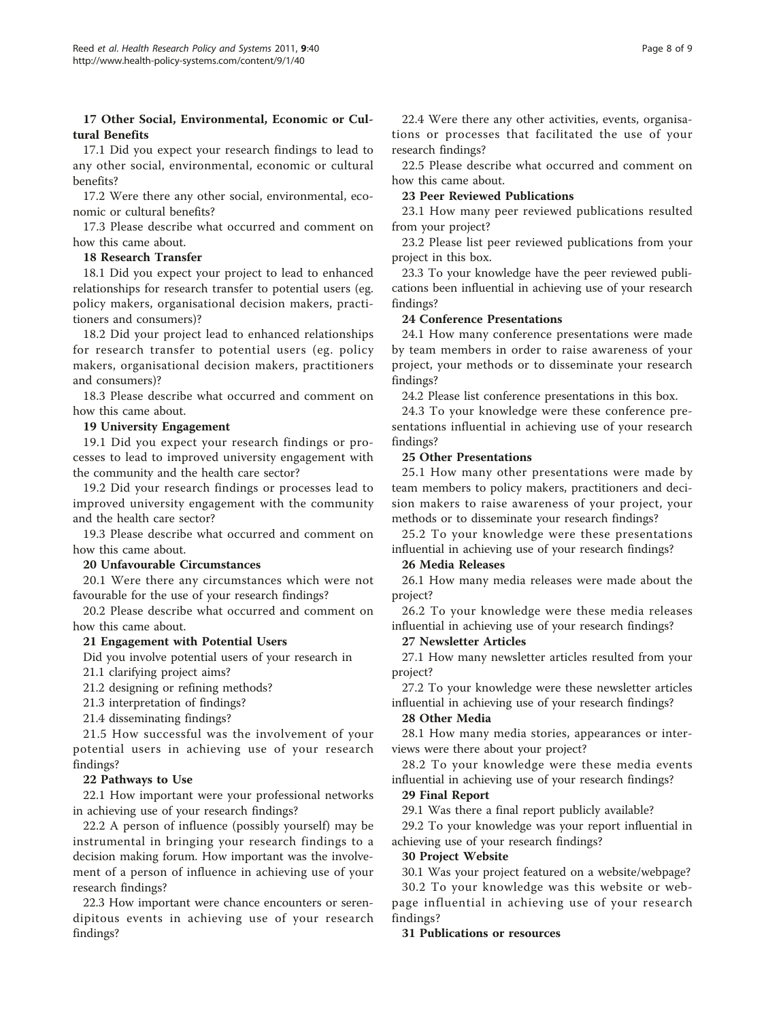# 17 Other Social, Environmental, Economic or Cultural Benefits

17.1 Did you expect your research findings to lead to any other social, environmental, economic or cultural benefits?

17.2 Were there any other social, environmental, economic or cultural benefits?

17.3 Please describe what occurred and comment on how this came about.

# 18 Research Transfer

18.1 Did you expect your project to lead to enhanced relationships for research transfer to potential users (eg. policy makers, organisational decision makers, practitioners and consumers)?

18.2 Did your project lead to enhanced relationships for research transfer to potential users (eg. policy makers, organisational decision makers, practitioners and consumers)?

18.3 Please describe what occurred and comment on how this came about.

# 19 University Engagement

19.1 Did you expect your research findings or processes to lead to improved university engagement with the community and the health care sector?

19.2 Did your research findings or processes lead to improved university engagement with the community and the health care sector?

19.3 Please describe what occurred and comment on how this came about.

#### 20 Unfavourable Circumstances

20.1 Were there any circumstances which were not favourable for the use of your research findings?

20.2 Please describe what occurred and comment on how this came about.

# 21 Engagement with Potential Users

Did you involve potential users of your research in

21.1 clarifying project aims?

21.2 designing or refining methods?

21.3 interpretation of findings?

21.4 disseminating findings?

21.5 How successful was the involvement of your potential users in achieving use of your research findings?

# 22 Pathways to Use

22.1 How important were your professional networks in achieving use of your research findings?

22.2 A person of influence (possibly yourself) may be instrumental in bringing your research findings to a decision making forum. How important was the involvement of a person of influence in achieving use of your research findings?

22.3 How important were chance encounters or serendipitous events in achieving use of your research findings?

22.4 Were there any other activities, events, organisations or processes that facilitated the use of your research findings?

22.5 Please describe what occurred and comment on how this came about.

### 23 Peer Reviewed Publications

23.1 How many peer reviewed publications resulted from your project?

23.2 Please list peer reviewed publications from your project in this box.

23.3 To your knowledge have the peer reviewed publications been influential in achieving use of your research findings?

### 24 Conference Presentations

24.1 How many conference presentations were made by team members in order to raise awareness of your project, your methods or to disseminate your research findings?

24.2 Please list conference presentations in this box.

24.3 To your knowledge were these conference presentations influential in achieving use of your research findings?

### 25 Other Presentations

25.1 How many other presentations were made by team members to policy makers, practitioners and decision makers to raise awareness of your project, your methods or to disseminate your research findings?

25.2 To your knowledge were these presentations influential in achieving use of your research findings?

#### 26 Media Releases

26.1 How many media releases were made about the project?

26.2 To your knowledge were these media releases influential in achieving use of your research findings?

#### 27 Newsletter Articles

27.1 How many newsletter articles resulted from your project?

27.2 To your knowledge were these newsletter articles influential in achieving use of your research findings?

#### 28 Other Media

28.1 How many media stories, appearances or interviews were there about your project?

28.2 To your knowledge were these media events influential in achieving use of your research findings?

#### 29 Final Report

29.1 Was there a final report publicly available?

29.2 To your knowledge was your report influential in achieving use of your research findings?

#### 30 Project Website

30.1 Was your project featured on a website/webpage? 30.2 To your knowledge was this website or webpage influential in achieving use of your research findings?

31 Publications or resources